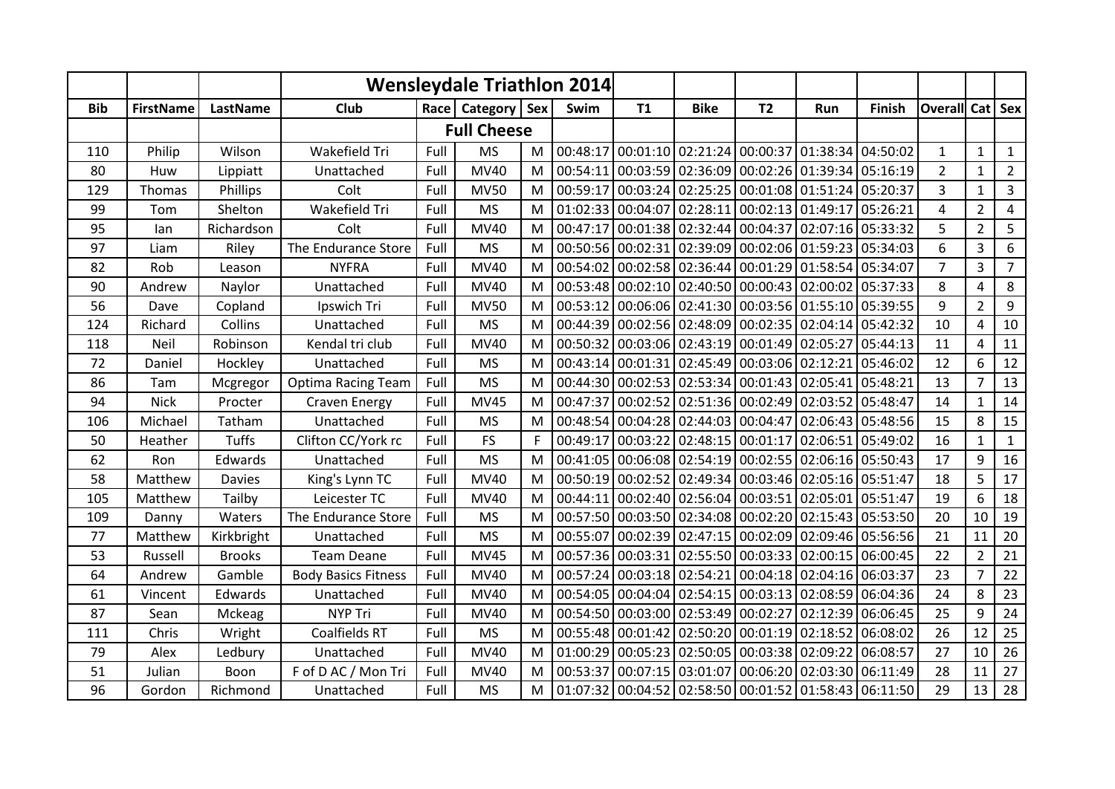|            |                  |               |                            |      | Wensleydale Triathlon 2014 |   |          |                                                       |                                     |                     |                                                      |          |                        |                |                  |
|------------|------------------|---------------|----------------------------|------|----------------------------|---|----------|-------------------------------------------------------|-------------------------------------|---------------------|------------------------------------------------------|----------|------------------------|----------------|------------------|
| <b>Bib</b> | <b>FirstName</b> | LastName      | Club                       | Race | Category   Sex             |   | Swim     | <b>T1</b>                                             | <b>Bike</b>                         | <b>T2</b>           | Run                                                  | Finish   | <b>Overall Cat Sex</b> |                |                  |
|            |                  |               |                            |      | <b>Full Cheese</b>         |   |          |                                                       |                                     |                     |                                                      |          |                        |                |                  |
| 110        | Philip           | Wilson        | Wakefield Tri              | Full | <b>MS</b>                  | М | 00:48:17 |                                                       |                                     |                     | 00:01:10 02:21:24 00:00:37 01:38:34 04:50:02         |          | $\mathbf{1}$           | $\mathbf{1}$   | $\mathbf{1}$     |
| 80         | Huw              | Lippiatt      | Unattached                 | Full | <b>MV40</b>                | M | 00:54:11 |                                                       | 00:03:59 02:36:09 00:02:26 01:39:34 |                     |                                                      | 05:16:19 | $\overline{2}$         | $\mathbf{1}$   | $\overline{2}$   |
| 129        | Thomas           | Phillips      | Colt                       | Full | <b>MV50</b>                | M | 00:59:17 |                                                       |                                     |                     | 00:03:24 02:25:25 00:01:08 01:51:24 05:20:37         |          | $\overline{3}$         | 1              | $\mathbf{3}$     |
| 99         | Tom              | Shelton       | Wakefield Tri              | Full | <b>MS</b>                  | M |          | 01:02:33 00:04:07 02:28:11                            |                                     | 00:02:13 01:49:17   |                                                      | 05:26:21 | $\overline{4}$         | $\overline{2}$ | $\overline{4}$   |
| 95         | lan              | Richardson    | Colt                       | Full | <b>MV40</b>                | M |          | 00:47:17 00:01:38 02:32:44 00:04:37 02:07:16          |                                     |                     |                                                      | 05:33:32 | 5                      | $\overline{2}$ | 5                |
| 97         | Liam             | Riley         | The Endurance Store        | Full | <b>MS</b>                  | M |          | 00:50:56 00:02:31 02:39:09                            |                                     |                     | 00:02:06 01:59:23                                    | 05:34:03 | $\boldsymbol{6}$       | 3              | 6                |
| 82         | Rob              | Leason        | <b>NYFRA</b>               | Full | MV40                       | M | 00:54:02 | 00:02:58 02:36:44                                     |                                     |                     | 00:01:29 01:58:54                                    | 05:34:07 | $\overline{7}$         | 3              | $\overline{7}$   |
| 90         | Andrew           | Naylor        | Unattached                 | Full | <b>MV40</b>                | M |          | 00:53:48 00:02:10 02:40:50                            |                                     | $00:00:43$ 02:00:02 |                                                      | 05:37:33 | 8                      | 4              | 8                |
| 56         | Dave             | Copland       | Ipswich Tri                | Full | <b>MV50</b>                | M | 00:53:12 | 00:06:06 02:41:30                                     |                                     |                     | 00:03:56 01:55:10 05:39:55                           |          | 9                      | $\overline{2}$ | $\boldsymbol{9}$ |
| 124        | Richard          | Collins       | Unattached                 | Full | <b>MS</b>                  | M |          | 00:44:39 00:02:56 02:48:09 00:02:35 02:04:14          |                                     |                     |                                                      | 05:42:32 | 10                     | 4              | 10               |
| 118        | Neil             | Robinson      | Kendal tri club            | Full | <b>MV40</b>                | M | 00:50:32 |                                                       | 00:03:06 02:43:19                   | 00:01:49 02:05:27   |                                                      | 05:44:13 | 11                     | $\overline{4}$ | $11\,$           |
| 72         | Daniel           | Hockley       | Unattached                 | Full | <b>MS</b>                  | M |          | 00:43:14 00:01:31 02:45:49 00:03:06 02:12:21          |                                     |                     |                                                      | 05:46:02 | 12                     | 6              | 12               |
| 86         | Tam              | Mcgregor      | <b>Optima Racing Team</b>  | Full | <b>MS</b>                  | M |          | 00:44:30 00:02:53 02:53:34 00:01:43 02:05:41          |                                     |                     |                                                      | 05:48:21 | 13                     | 7              | 13               |
| 94         | <b>Nick</b>      | Procter       | Craven Energy              | Full | <b>MV45</b>                | M | 00:47:37 |                                                       |                                     |                     | 00:02:52   02:51:36   00:02:49   02:03:52   05:48:47 |          | 14                     | $\mathbf{1}$   | 14               |
| 106        | Michael          | Tatham        | Unattached                 | Full | <b>MS</b>                  | M |          | 00:48:54 00:04:28 02:44:03 00:04:47 02:06:43 05:48:56 |                                     |                     |                                                      |          | 15                     | 8              | 15               |
| 50         | Heather          | <b>Tuffs</b>  | Clifton CC/York rc         | Full | <b>FS</b>                  | F | 00:49:17 | 00:03:22 02:48:15 00:01:17 02:06:51                   |                                     |                     |                                                      | 05:49:02 | 16                     | $\mathbf{1}$   | $\mathbf{1}$     |
| 62         | Ron              | Edwards       | Unattached                 | Full | <b>MS</b>                  | M |          | 00:41:05 00:06:08 02:54:19 00:02:55 02:06:16 05:50:43 |                                     |                     |                                                      |          | 17                     | 9              | 16               |
| 58         | Matthew          | <b>Davies</b> | King's Lynn TC             | Full | <b>MV40</b>                | M | 00:50:19 | 00:02:52 02:49:34                                     |                                     |                     | 00:03:46 02:05:16 05:51:47                           |          | 18                     | 5              | $17\,$           |
| 105        | Matthew          | Tailby        | Leicester TC               | Full | <b>MV40</b>                | M | 00:44:11 |                                                       | 00:02:40 02:56:04 00:03:51 02:05:01 |                     |                                                      | 05:51:47 | 19                     | 6              | 18               |
| 109        | Danny            | Waters        | The Endurance Store        | Full | <b>MS</b>                  | M |          | 00:57:50 00:03:50 02:34:08 00:02:20 02:15:43 05:53:50 |                                     |                     |                                                      |          | 20                     | 10             | 19               |
| 77         | Matthew          | Kirkbright    | Unattached                 | Full | <b>MS</b>                  | M | 00:55:07 |                                                       |                                     |                     | 00:02:39   02:47:15   00:02:09   02:09:46   05:56:56 |          | 21                     | 11             | 20               |
| 53         | Russell          | <b>Brooks</b> | <b>Team Deane</b>          | Full | <b>MV45</b>                | M |          | 00:57:36 00:03:31 02:55:50 00:03:33 02:00:15          |                                     |                     |                                                      | 06:00:45 | 22                     | $\overline{2}$ | $\overline{21}$  |
| 64         | Andrew           | Gamble        | <b>Body Basics Fitness</b> | Full | <b>MV40</b>                | M |          | 00:57:24 00:03:18 02:54:21                            |                                     |                     | 00:04:18 02:04:16 06:03:37                           |          | 23                     | $\overline{7}$ | 22               |
| 61         | Vincent          | Edwards       | Unattached                 | Full | <b>MV40</b>                | M |          | 00:54:05 00:04:04 02:54:15 00:03:13 02:08:59          |                                     |                     |                                                      | 06:04:36 | 24                     | 8              | 23               |
| 87         | Sean             | Mckeag        | <b>NYP Tri</b>             | Full | <b>MV40</b>                | M |          | 00:54:50 00:03:00 02:53:49                            |                                     | 00:02:27            | 02:12:39                                             | 06:06:45 | 25                     | 9              | 24               |
| 111        | Chris            | Wright        | Coalfields RT              | Full | <b>MS</b>                  | M |          | 00:55:48 00:01:42 02:50:20                            |                                     | 00:01:19 02:18:52   |                                                      | 06:08:02 | 26                     | 12             | 25               |
| 79         | Alex             | Ledbury       | Unattached                 | Full | MV40                       | M |          | $01:00:29$ 00:05:23 02:50:05 00:03:38 02:09:22        |                                     |                     |                                                      | 06:08:57 | 27                     | 10             | 26               |
| 51         | Julian           | Boon          | F of D AC / Mon Tri        | Full | MV40                       | M | 00:53:37 | 00:07:15 03:01:07                                     |                                     |                     | 00:06:20 02:03:30 06:11:49                           |          | 28                     | 11             | 27               |
| 96         | Gordon           | Richmond      | Unattached                 | Full | <b>MS</b>                  | M |          | 01:07:32 00:04:52 02:58:50 00:01:52 01:58:43 06:11:50 |                                     |                     |                                                      |          | 29                     | 13             | 28               |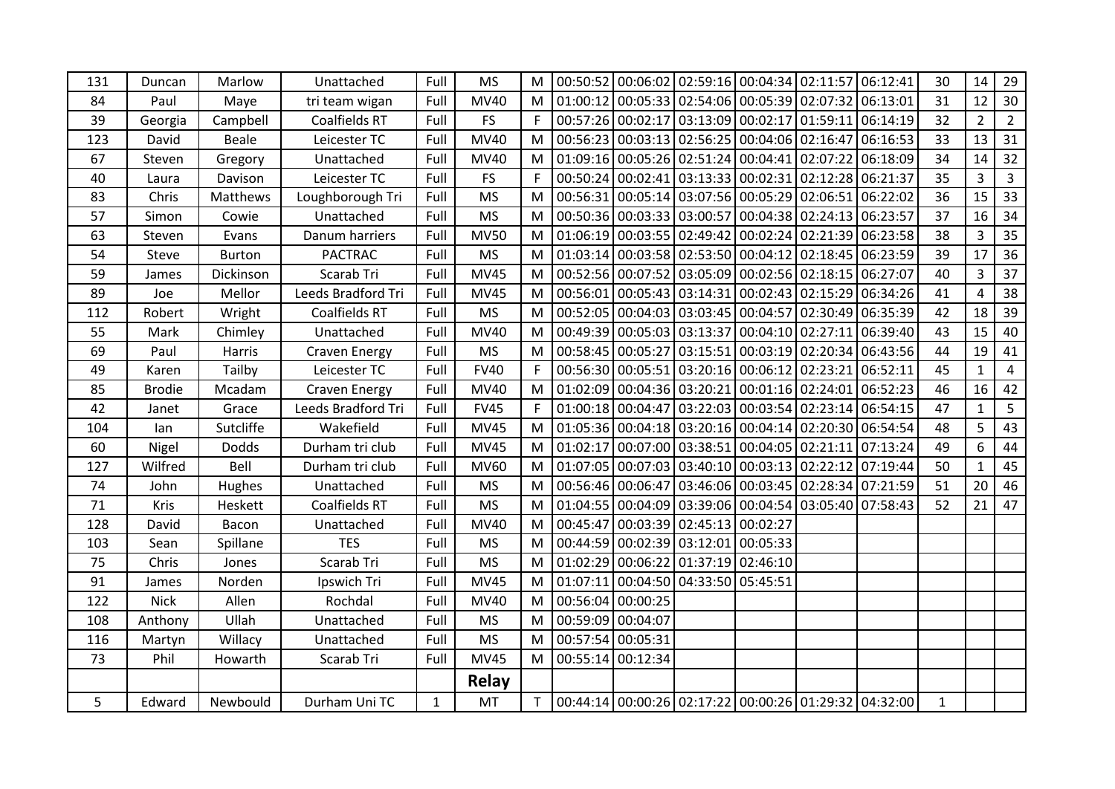| 131 | Duncan        | Marlow        | Unattached           | Full         | <b>MS</b>   | M            |          |                   | 00:50:52 00:06:02 02:59:16 00:04:34 02:11:57 06:12:41                                |                   |                            |                                                       | 30           | 14             | 29             |
|-----|---------------|---------------|----------------------|--------------|-------------|--------------|----------|-------------------|--------------------------------------------------------------------------------------|-------------------|----------------------------|-------------------------------------------------------|--------------|----------------|----------------|
| 84  | Paul          | Maye          | tri team wigan       | Full         | <b>MV40</b> | M            |          |                   | $\vert$ 01:00:12 $\vert$ 00:05:33 $\vert$ 02:54:06 $\vert$ 00:05:39 $\vert$ 02:07:32 |                   |                            | 06:13:01                                              | 31           | 12             | 30             |
| 39  | Georgia       | Campbell      | Coalfields RT        | Full         | <b>FS</b>   | F            |          |                   | 00:57:26 00:02:17 03:13:09 00:02:17 01:59:11                                         |                   |                            | 06:14:19                                              | 32           | $\overline{2}$ | $\overline{2}$ |
| 123 | David         | <b>Beale</b>  | Leicester TC         | Full         | <b>MV40</b> | M            |          |                   | 00:56:23 00:03:13 02:56:25 00:04:06 02:16:47                                         |                   |                            | 06:16:53                                              | 33           | 13             | 31             |
| 67  | Steven        | Gregory       | Unattached           | Full         | <b>MV40</b> | M            |          |                   | 01:09:16 00:05:26 02:51:24                                                           | 00:04:41 02:07:22 |                            | 06:18:09                                              | 34           | 14             | 32             |
| 40  | Laura         | Davison       | Leicester TC         | Full         | <b>FS</b>   | $\mathsf{F}$ |          |                   | 00:50:24 00:02:41 03:13:33 00:02:31 02:12:28                                         |                   |                            | 06:21:37                                              | 35           | $\overline{3}$ | $\overline{3}$ |
| 83  | Chris         | Matthews      | Loughborough Tri     | Full         | <b>MS</b>   | M            |          |                   | 00:56:31 00:05:14 03:07:56 00:05:29 02:06:51                                         |                   |                            | 06:22:02                                              | 36           | 15             | 33             |
| 57  | Simon         | Cowie         | Unattached           | Full         | <b>MS</b>   | M            |          |                   | 00:50:36 00:03:33 03:00:57                                                           |                   | 00:04:38 02:24:13          | 06:23:57                                              | 37           | 16             | 34             |
| 63  | Steven        | Evans         | Danum harriers       | Full         | <b>MV50</b> | M            |          |                   | 01:06:19 00:03:55 02:49:42                                                           |                   | 00:02:24 02:21:39          | 06:23:58                                              | 38           | 3              | 35             |
| 54  | Steve         | <b>Burton</b> | <b>PACTRAC</b>       | Full         | <b>MS</b>   | M            |          |                   | 01:03:14 00:03:58 02:53:50                                                           |                   | 00:04:12 02:18:45 06:23:59 |                                                       | 39           | 17             | 36             |
| 59  | James         | Dickinson     | Scarab Tri           | Full         | <b>MV45</b> | M            |          |                   | 00:52:56 00:07:52 03:05:09 00:02:56 02:18:15 06:27:07                                |                   |                            |                                                       | 40           | $\overline{3}$ | 37             |
| 89  | Joe           | Mellor        | Leeds Bradford Tri   | Full         | <b>MV45</b> | M            | 00:56:01 |                   | 00:05:43 03:14:31                                                                    |                   |                            | 00:02:43 02:15:29 06:34:26                            | 41           | $\overline{4}$ | 38             |
| 112 | Robert        | Wright        | Coalfields RT        | Full         | <b>MS</b>   | M            |          |                   | 00:52:05 00:04:03 03:03:45 00:04:57 02:30:49 06:35:39                                |                   |                            |                                                       | 42           | 18             | 39             |
| 55  | Mark          | Chimley       | Unattached           | Full         | <b>MV40</b> | M            |          |                   | 00:49:39 00:05:03 03:13:37                                                           | 00:04:10 02:27:11 |                            | 06:39:40                                              | 43           | 15             | 40             |
| 69  | Paul          | Harris        | <b>Craven Energy</b> | Full         | <b>MS</b>   | M            |          |                   |                                                                                      |                   |                            | 00:58:45 00:05:27 03:15:51 00:03:19 02:20:34 06:43:56 | 44           | 19             | 41             |
| 49  | Karen         | Tailby        | Leicester TC         | Full         | <b>FV40</b> | F            |          |                   | 00:56:30 00:05:51 03:20:16 00:06:12 02:23:21                                         |                   |                            | 06:52:11                                              | 45           | $\mathbf{1}$   | $\overline{4}$ |
| 85  | <b>Brodie</b> | Mcadam        | Craven Energy        | Full         | MV40        | M            |          |                   | 01:02:09 00:04:36 03:20:21                                                           | 00:01:16 02:24:01 |                            | 06:52:23                                              | 46           | 16             | 42             |
| 42  | Janet         | Grace         | Leeds Bradford Tri   | Full         | <b>FV45</b> | $\mathsf{F}$ |          |                   | $01:00:18$ 00:04:47 03:22:03 00:03:54 02:23:14                                       |                   |                            | 06:54:15                                              | 47           | $\mathbf{1}$   | 5              |
| 104 | lan           | Sutcliffe     | Wakefield            | Full         | <b>MV45</b> | М            |          |                   | $01:05:36$ 00:04:18 03:20:16 00:04:14 02:20:30 06:54:54                              |                   |                            |                                                       | 48           | 5              | 43             |
| 60  | Nigel         | <b>Dodds</b>  | Durham tri club      | Full         | <b>MV45</b> | M            | 01:02:17 |                   | 00:07:00 03:38:51                                                                    |                   | 00:04:05 02:21:11          | 07:13:24                                              | 49           | 6              | $44\,$         |
| 127 | Wilfred       | Bell          | Durham tri club      | Full         | <b>MV60</b> | M            |          |                   | 01:07:05 00:07:03 03:40:10                                                           |                   | 00:03:13 02:22:12          | 07:19:44                                              | 50           | $\mathbf{1}$   | 45             |
| 74  | John          | Hughes        | Unattached           | Full         | <b>MS</b>   | M            |          |                   | 00:56:46 00:06:47 03:46:06                                                           |                   |                            | 00:03:45 02:28:34 07:21:59                            | 51           | 20             | 46             |
| 71  | Kris          | Heskett       | Coalfields RT        | Full         | <b>MS</b>   | M            |          |                   | 01:04:55 00:04:09 03:39:06                                                           |                   | 00:04:54 03:05:40          | 07:58:43                                              | 52           | 21             | 47             |
| 128 | David         | Bacon         | Unattached           | Full         | <b>MV40</b> | M            | 00:45:47 |                   | $\vert 00:03:39 \vert 02:45:13 \vert 00:02:27$                                       |                   |                            |                                                       |              |                |                |
| 103 | Sean          | Spillane      | <b>TES</b>           | Full         | <b>MS</b>   | M            |          |                   | 00:44:59 00:02:39 03:12:01                                                           | 00:05:33          |                            |                                                       |              |                |                |
| 75  | Chris         | Jones         | Scarab Tri           | Full         | <b>MS</b>   | M            |          |                   | $01:02:29$ 00:06:22 01:37:19 02:46:10                                                |                   |                            |                                                       |              |                |                |
| 91  | James         | Norden        | Ipswich Tri          | Full         | <b>MV45</b> | M            | 01:07:11 |                   | 00:04:50 04:33:50 05:45:51                                                           |                   |                            |                                                       |              |                |                |
| 122 | <b>Nick</b>   | Allen         | Rochdal              | Full         | <b>MV40</b> | M            |          | 00:56:04 00:00:25 |                                                                                      |                   |                            |                                                       |              |                |                |
| 108 | Anthony       | Ullah         | Unattached           | Full         | <b>MS</b>   | M            |          | 00:59:09 00:04:07 |                                                                                      |                   |                            |                                                       |              |                |                |
| 116 | Martyn        | Willacy       | Unattached           | Full         | <b>MS</b>   | M            |          | 00:57:54 00:05:31 |                                                                                      |                   |                            |                                                       |              |                |                |
| 73  | Phil          | Howarth       | Scarab Tri           | Full         | <b>MV45</b> | M            | 00:55:14 | 00:12:34          |                                                                                      |                   |                            |                                                       |              |                |                |
|     |               |               |                      |              | Relay       |              |          |                   |                                                                                      |                   |                            |                                                       |              |                |                |
| 5   | Edward        | Newbould      | Durham Uni TC        | $\mathbf{1}$ | <b>MT</b>   | T.           |          |                   |                                                                                      |                   |                            | 00:44:14 00:00:26 02:17:22 00:00:26 01:29:32 04:32:00 | $\mathbf{1}$ |                |                |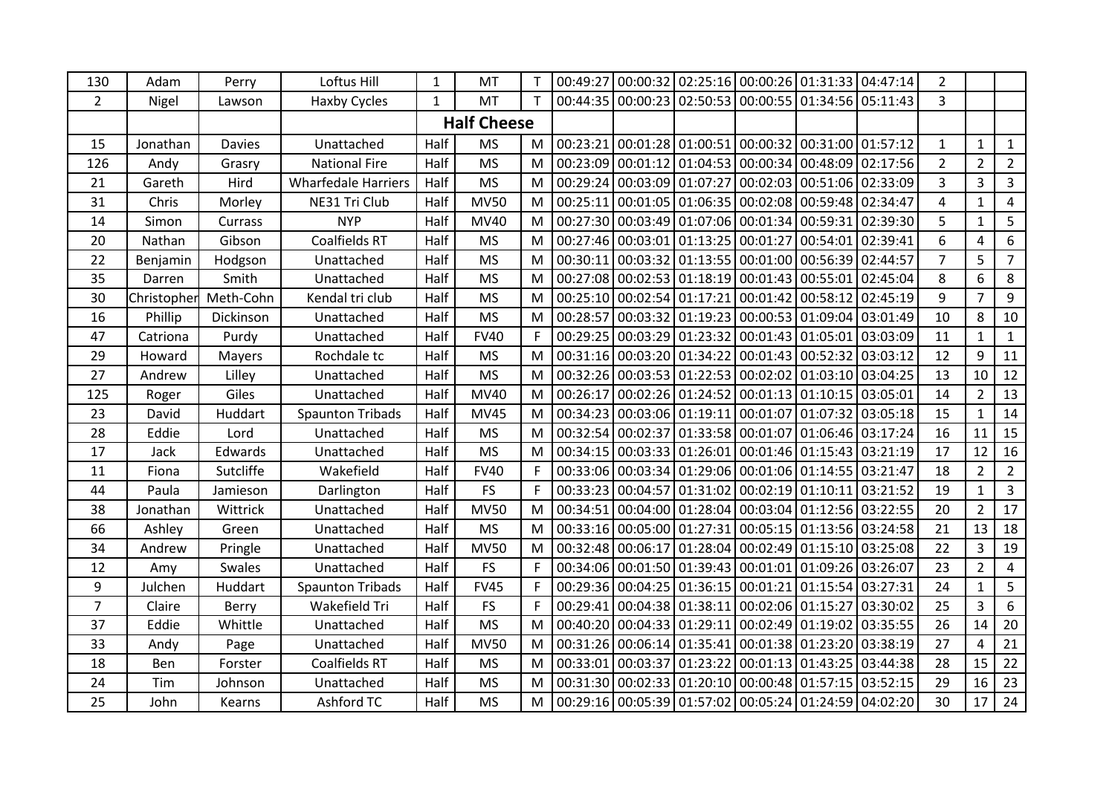| 130            | Adam        | Perry         | Loftus Hill                | $\mathbf{1}$       | MT          |              | 00:49:27 |                                     | 00:00:32 02:25:16 00:00:26 01:31:33 04:47:14                        |                            |                            | $\overline{2}$ |                |                |
|----------------|-------------|---------------|----------------------------|--------------------|-------------|--------------|----------|-------------------------------------|---------------------------------------------------------------------|----------------------------|----------------------------|----------------|----------------|----------------|
| $\overline{2}$ | Nigel       | Lawson        | <b>Haxby Cycles</b>        | $\mathbf{1}$       | MT          | $\mathsf{T}$ |          |                                     | 00:44:35 00:00:23 02:50:53 00:00:55 01:34:56 05:11:43               |                            |                            | $\overline{3}$ |                |                |
|                |             |               |                            | <b>Half Cheese</b> |             |              |          |                                     |                                                                     |                            |                            |                |                |                |
| 15             | Jonathan    | <b>Davies</b> | Unattached                 | Half               | <b>MS</b>   | M            | 00:23:21 | 00:01:28 01:00:51                   | 00:00:32 00:31:00 01:57:12                                          |                            |                            | $\mathbf{1}$   | $\mathbf{1}$   | $\mathbf{1}$   |
| 126            | Andy        | Grasry        | <b>National Fire</b>       | Half               | <b>MS</b>   | M            |          |                                     | 00:23:09 00:01:12 01:04:53 00:00:34 00:48:09                        |                            | 02:17:56                   | $\overline{2}$ | $\overline{2}$ | $\overline{2}$ |
| 21             | Gareth      | Hird          | <b>Wharfedale Harriers</b> | Half               | <b>MS</b>   | M            |          | 00:29:24 00:03:09 01:07:27          |                                                                     |                            | 00:02:03 00:51:06 02:33:09 | $\overline{3}$ | 3              | 3              |
| 31             | Chris       | Morley        | NE31 Tri Club              | Half               | <b>MV50</b> | M            |          |                                     | 00:25:11 00:01:05 01:06:35 00:02:08 00:59:48 02:34:47               |                            |                            | $\overline{4}$ | $\mathbf{1}$   | $\overline{4}$ |
| 14             | Simon       | Currass       | <b>NYP</b>                 | Half               | <b>MV40</b> | M            |          |                                     | 00:27:30 00:03:49 01:07:06 00:01:34 00:59:31                        |                            | 02:39:30                   | 5              | $\mathbf{1}$   | 5              |
| 20             | Nathan      | Gibson        | Coalfields RT              | Half               | <b>MS</b>   | M            |          |                                     | 00:27:46 00:03:01 01:13:25 00:01:27                                 | 00:54:01                   | 02:39:41                   | 6              | 4              | 6              |
| 22             | Benjamin    | Hodgson       | Unattached                 | Half               | <b>MS</b>   | M            | 00:30:11 |                                     | 00:03:32 01:13:55 00:01:00 00:56:39 02:44:57                        |                            |                            | $\overline{7}$ | 5              | $\overline{7}$ |
| 35             | Darren      | Smith         | Unattached                 | Half               | <b>MS</b>   | M            |          |                                     | 00:27:08 00:02:53 01:18:19 00:01:43 00:55:01                        |                            | 02:45:04                   | 8              | 6              | 8              |
| 30             | Christopher | Meth-Cohn     | Kendal tri club            | Half               | <b>MS</b>   | M            |          | 00:25:10 00:02:54 01:17:21          | 00:01:42 00:58:12                                                   |                            | 02:45:19                   | $\overline{9}$ | $\overline{7}$ | 9              |
| 16             | Phillip     | Dickinson     | Unattached                 | Half               | <b>MS</b>   | M            | 00:28:57 |                                     | 00:03:32 01:19:23 00:00:53 01:09:04 03:01:49                        |                            |                            | 10             | 8              | 10             |
| 47             | Catriona    | Purdy         | Unattached                 | Half               | <b>FV40</b> | F            |          |                                     | 00:29:25 00:03:29 01:23:32 00:01:43 01:05:01                        |                            | 03:03:09                   | 11             | 1              | 1              |
| 29             | Howard      | Mayers        | Rochdale tc                | Half               | <b>MS</b>   | M            |          |                                     | 00:31:16 00:03:20 01:34:22 00:01:43 00:52:32                        |                            | 03:03:12                   | 12             | 9              | 11             |
| 27             | Andrew      | Lilley        | Unattached                 | Half               | <b>MS</b>   | M            |          |                                     | 00:32:26 00:03:53 01:22:53 00:02:02 01:03:10                        |                            | 03:04:25                   | 13             | 10             | 12             |
| 125            | Roger       | Giles         | Unattached                 | Half               | <b>MV40</b> | M            | 00:26:17 |                                     | $\vert$ 00:02:26 $\vert$ 01:24:52 $\vert$ 00:01:13 $\vert$ 01:10:15 |                            | 03:05:01                   | 14             | $\overline{2}$ | 13             |
| 23             | David       | Huddart       | <b>Spaunton Tribads</b>    | Half               | <b>MV45</b> | M            |          |                                     | 00:34:23 00:03:06 01:19:11 00:01:07 01:07:32                        |                            | 03:05:18                   | 15             | $\mathbf{1}$   | 14             |
| 28             | Eddie       | Lord          | Unattached                 | Half               | <b>MS</b>   | M            |          | 00:32:54 00:02:37 01:33:58 00:01:07 |                                                                     |                            | 01:06:46 03:17:24          | 16             | 11             | 15             |
| 17             | Jack        | Edwards       | Unattached                 | Half               | <b>MS</b>   | M            |          | 00:34:15 00:03:33 01:26:01          |                                                                     | 00:01:46 01:15:43 03:21:19 |                            | 17             | 12             | 16             |
| 11             | Fiona       | Sutcliffe     | Wakefield                  | Half               | <b>FV40</b> | $\mathsf{F}$ |          |                                     | 00:33:06 00:03:34 01:29:06 00:01:06 01:14:55                        |                            | 03:21:47                   | 18             | $\overline{2}$ | $\overline{2}$ |
| 44             | Paula       | Jamieson      | Darlington                 | Half               | <b>FS</b>   | F            |          |                                     | 00:33:23 00:04:57 01:31:02 00:02:19 01:10:11                        |                            | 03:21:52                   | 19             | $\mathbf{1}$   | $\mathbf{3}$   |
| 38             | Jonathan    | Wittrick      | Unattached                 | Half               | <b>MV50</b> | M            |          |                                     | 00:34:51 00:04:00 01:28:04 00:03:04 01:12:56 03:22:55               |                            |                            | 20             | $\overline{2}$ | 17             |
| 66             | Ashley      | Green         | Unattached                 | Half               | <b>MS</b>   | M            |          |                                     | 00:33:16 00:05:00 01:27:31 00:05:15 01:13:56 03:24:58               |                            |                            | 21             | 13             | 18             |
| 34             | Andrew      | Pringle       | Unattached                 | Half               | <b>MV50</b> | M            |          |                                     | 00:32:48 00:06:17 01:28:04 00:02:49 01:15:10                        |                            | 03:25:08                   | 22             | $\overline{3}$ | 19             |
| 12             | Amy         | <b>Swales</b> | Unattached                 | Half               | <b>FS</b>   | F            |          |                                     | 00:34:06 00:01:50 01:39:43 00:01:01 01:09:26 03:26:07               |                            |                            | 23             | $\overline{2}$ | 4              |
| 9              | Julchen     | Huddart       | <b>Spaunton Tribads</b>    | Half               | <b>FV45</b> |              |          |                                     | 00:29:36 00:04:25 01:36:15 00:01:21 01:15:54 03:27:31               |                            |                            | 24             | $\mathbf{1}$   | 5              |
| $\overline{7}$ | Claire      | Berry         | Wakefield Tri              | Half               | <b>FS</b>   | F            |          | 00:29:41 00:04:38 01:38:11          | 00:02:06 01:15:27                                                   |                            | 03:30:02                   | 25             | $\overline{3}$ | 6              |
| 37             | Eddie       | Whittle       | Unattached                 | Half               | <b>MS</b>   | M            |          | 00:40:20 00:04:33 01:29:11          | 00:02:49 01:19:02                                                   |                            | 03:35:55                   | 26             | 14             | 20             |
| 33             | Andy        | Page          | Unattached                 | Half               | <b>MV50</b> | M            |          |                                     | 00:31:26 00:06:14 01:35:41 00:01:38 01:23:20 03:38:19               |                            |                            | 27             | $\overline{4}$ | 21             |
| 18             | Ben         | Forster       | Coalfields RT              | Half               | <b>MS</b>   | M            |          | 00:33:01 00:03:37 01:23:22          |                                                                     | 00:01:13 01:43:25          | 03:44:38                   | 28             | 15             | 22             |
| 24             | Tim         | Johnson       | Unattached                 | Half               | <b>MS</b>   | M            |          | 00:31:30 00:02:33 01:20:10          | 00:00:48 01:57:15                                                   |                            | 03:52:15                   | 29             | 16             | 23             |
| 25             | John        | Kearns        | Ashford TC                 | Half               | <b>MS</b>   | M            |          |                                     | 00:29:16 00:05:39 01:57:02 00:05:24 01:24:59 04:02:20               |                            |                            | 30             | 17             | $24$           |